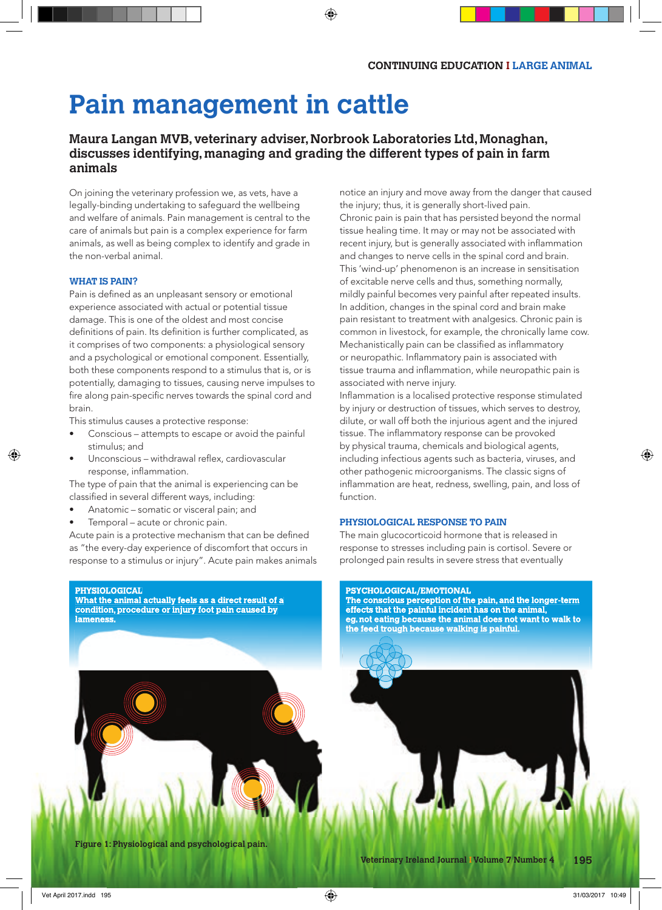# **Pain management in cattle**

# **Maura Langan MVB, veterinary adviser, Norbrook Laboratories Ltd, Monaghan, discusses identifying, managing and grading the different types of pain in farm animals**

On joining the veterinary profession we, as vets, have a legally-binding undertaking to safeguard the wellbeing and welfare of animals. Pain management is central to the care of animals but pain is a complex experience for farm animals, as well as being complex to identify and grade in the non-verbal animal.

# **WHAT IS PAIN?**

Pain is defined as an unpleasant sensory or emotional experience associated with actual or potential tissue damage. This is one of the oldest and most concise definitions of pain. Its definition is further complicated, as it comprises of two components: a physiological sensory and a psychological or emotional component. Essentially, both these components respond to a stimulus that is, or is potentially, damaging to tissues, causing nerve impulses to fire along pain-specific nerves towards the spinal cord and brain.

This stimulus causes a protective response:

- Conscious attempts to escape or avoid the painful stimulus; and
- Unconscious withdrawal reflex, cardiovascular response, inflammation.

The type of pain that the animal is experiencing can be classified in several different ways, including:

- Anatomic somatic or visceral pain; and
- Temporal acute or chronic pain.

Acute pain is a protective mechanism that can be defined as "the every-day experience of discomfort that occurs in response to a stimulus or injury". Acute pain makes animals

#### **PHYSIOLOGICAL**

**What the animal actually feels as a direct result of a condition, procedure or injury foot pain caused by lameness.**

notice an injury and move away from the danger that caused the injury; thus, it is generally short-lived pain. Chronic pain is pain that has persisted beyond the normal tissue healing time. It may or may not be associated with recent injury, but is generally associated with inflammation and changes to nerve cells in the spinal cord and brain. This 'wind-up' phenomenon is an increase in sensitisation of excitable nerve cells and thus, something normally, mildly painful becomes very painful after repeated insults. In addition, changes in the spinal cord and brain make pain resistant to treatment with analgesics. Chronic pain is common in livestock, for example, the chronically lame cow. Mechanistically pain can be classified as inflammatory or neuropathic. Inflammatory pain is associated with tissue trauma and inflammation, while neuropathic pain is associated with nerve injury.

Inflammation is a localised protective response stimulated by injury or destruction of tissues, which serves to destroy, dilute, or wall off both the injurious agent and the injured tissue. The inflammatory response can be provoked by physical trauma, chemicals and biological agents, including infectious agents such as bacteria, viruses, and other pathogenic microorganisms. The classic signs of inflammation are heat, redness, swelling, pain, and loss of function.

# **PHYSIOLOGICAL RESPONSE TO PAIN**

The main glucocorticoid hormone that is released in response to stresses including pain is cortisol. Severe or prolonged pain results in severe stress that eventually

#### **PSYCHOLOGICAL/EMOTIONAL**

**The conscious perception of the pain, and the longer-term effects that the painful incident has on the animal, eg. not eating because the animal does not want to walk to the feed trough because walking is painful.**

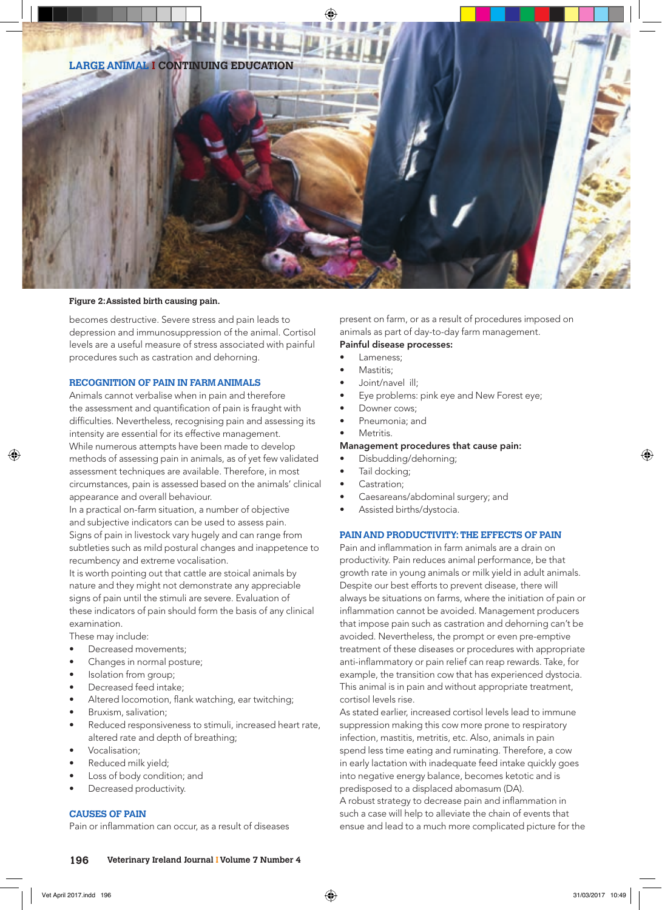

#### **Figure 2: Assisted birth causing pain.**

becomes destructive. Severe stress and pain leads to depression and immunosuppression of the animal. Cortisol levels are a useful measure of stress associated with painful procedures such as castration and dehorning.

# **RECOGNITION OF PAIN IN FARM ANIMALS**

Animals cannot verbalise when in pain and therefore the assessment and quantification of pain is fraught with difficulties. Nevertheless, recognising pain and assessing its intensity are essential for its effective management. While numerous attempts have been made to develop methods of assessing pain in animals, as of yet few validated assessment techniques are available. Therefore, in most circumstances, pain is assessed based on the animals' clinical appearance and overall behaviour.

In a practical on-farm situation, a number of objective and subjective indicators can be used to assess pain. Signs of pain in livestock vary hugely and can range from subtleties such as mild postural changes and inappetence to recumbency and extreme vocalisation.

It is worth pointing out that cattle are stoical animals by nature and they might not demonstrate any appreciable signs of pain until the stimuli are severe. Evaluation of these indicators of pain should form the basis of any clinical examination.

These may include:

- Decreased movements;
- Changes in normal posture;
- Isolation from group;
- Decreased feed intake;
- Altered locomotion, flank watching, ear twitching;
- Bruxism, salivation;
- Reduced responsiveness to stimuli, increased heart rate, altered rate and depth of breathing;
- Vocalisation;
- Reduced milk yield;
- Loss of body condition; and
- Decreased productivity.

# **CAUSES OF PAIN**

Pain or inflammation can occur, as a result of diseases

present on farm, or as a result of procedures imposed on animals as part of day-to-day farm management.

# Painful disease processes:

- Lameness:
- Mastitis:
- Joint/navel ill;
- Eye problems: pink eye and New Forest eye;
- Downer cows:
- Pneumonia; and
- Metritis.

# Management procedures that cause pain:

- Disbudding/dehorning;
- Tail docking;
- Castration:
- Caesareans/abdominal surgery; and
- Assisted births/dystocia.

# **PAIN AND PRODUCTIVITY: THE EFFECTS OF PAIN**

Pain and inflammation in farm animals are a drain on productivity. Pain reduces animal performance, be that growth rate in young animals or milk yield in adult animals. Despite our best efforts to prevent disease, there will always be situations on farms, where the initiation of pain or inflammation cannot be avoided. Management producers that impose pain such as castration and dehorning can't be avoided. Nevertheless, the prompt or even pre-emptive treatment of these diseases or procedures with appropriate anti-inflammatory or pain relief can reap rewards. Take, for example, the transition cow that has experienced dystocia. This animal is in pain and without appropriate treatment, cortisol levels rise.

As stated earlier, increased cortisol levels lead to immune suppression making this cow more prone to respiratory infection, mastitis, metritis, etc. Also, animals in pain spend less time eating and ruminating. Therefore, a cow in early lactation with inadequate feed intake quickly goes into negative energy balance, becomes ketotic and is predisposed to a displaced abomasum (DA). A robust strategy to decrease pain and inflammation in such a case will help to alleviate the chain of events that ensue and lead to a much more complicated picture for the